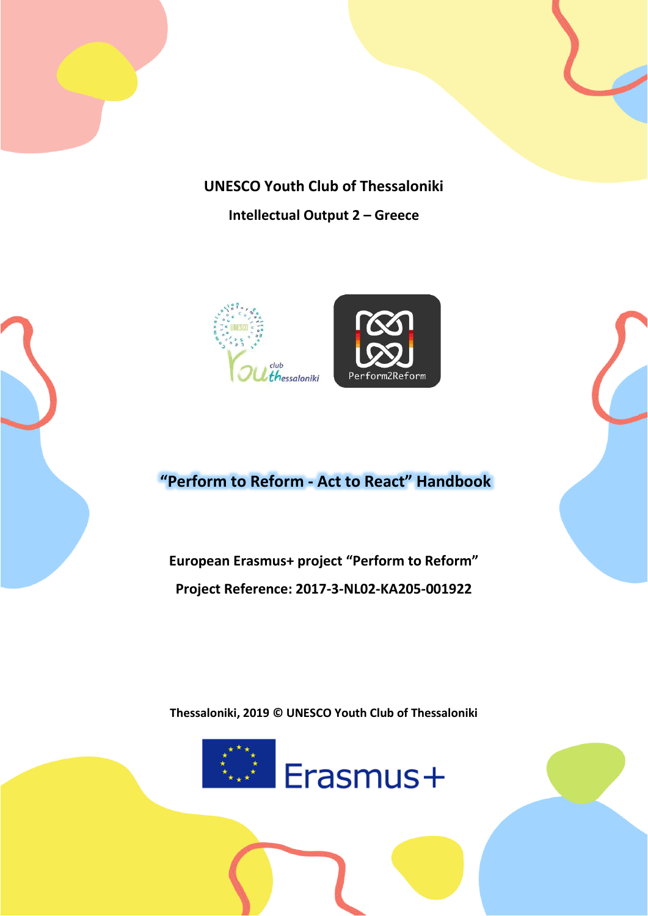

# **UNESCO Youth Club of Thessaloniki**

**Intellectual Output 2 – Greece**





# **"Perform to Reform - Act to React" Handbook**

**European Erasmus+ project "Perform to Reform" Project Reference: 2017-3-NL02-KA205-001922**

**Thessaloniki, 2019 © UNESCO Youth Club of Thessaloniki**



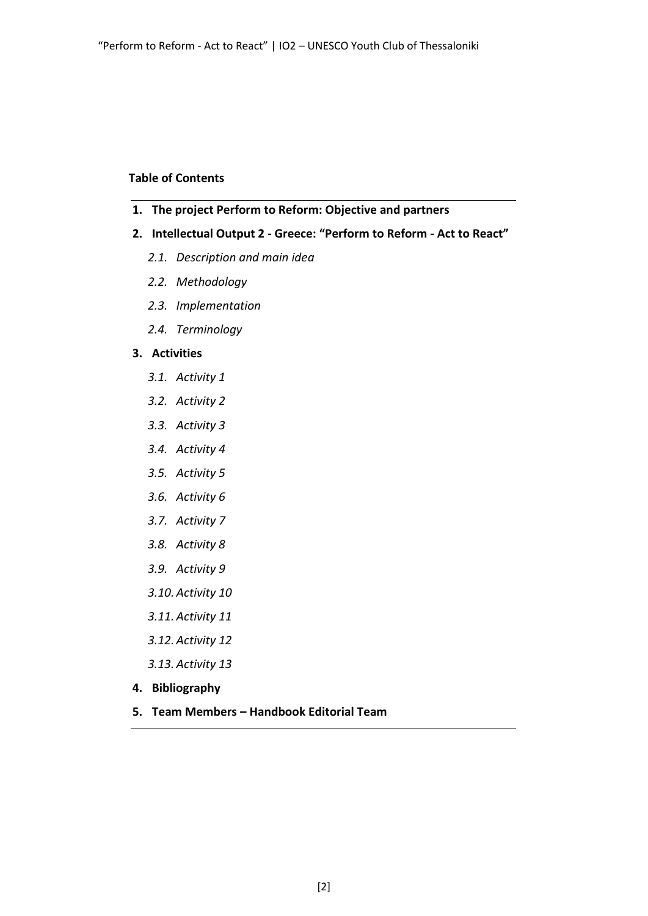#### **Table of Contents**

- **1. The project Perform to Reform: Objective and partners**
- **2. Intellectual Output 2 - Greece: "Perform to Reform - Act to React"**
	- *2.1. Description and main idea*
	- *2.2. Methodology*
	- *2.3. Implementation*
	- *2.4. Terminology*

### **3. Activities**

- *3.1. Activity 1*
- *3.2. Activity 2*
- *3.3. Activity 3*
- *3.4. Activity 4*
- *3.5. Activity 5*
- *3.6. Activity 6*
- *3.7. Activity 7*
- *3.8. Activity 8*
- *3.9. Activity 9*
- *3.10. Activity 10*
- *3.11. Activity 11*
- *3.12. Activity 12*
- *3.13. Activity 13*
- **4. Bibliography**
- **5. Team Members – Handbook Editorial Team**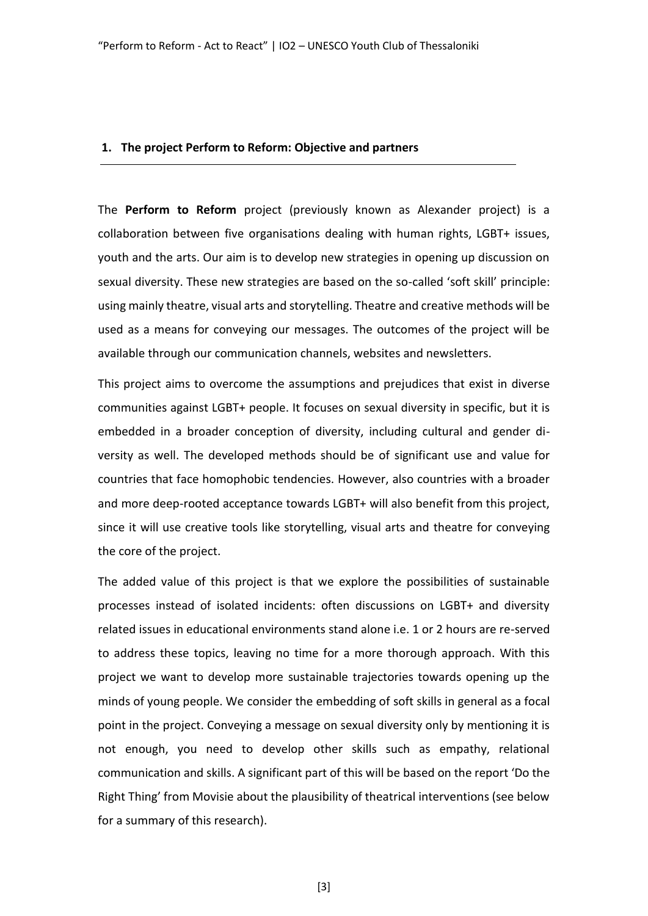#### **1. The project Perform to Reform: Objective and partners**

The **Perform to Reform** project (previously known as Alexander project) is a collaboration between five organisations dealing with human rights, LGBT+ issues, youth and the arts. Our aim is to develop new strategies in opening up discussion on sexual diversity. These new strategies are based on the so-called 'soft skill' principle: using mainly theatre, visual arts and storytelling. Theatre and creative methods will be used as a means for conveying our messages. The outcomes of the project will be available through our communication channels, websites and newsletters.

This project aims to overcome the assumptions and prejudices that exist in diverse communities against LGBT+ people. It focuses on sexual diversity in specific, but it is embedded in a broader conception of diversity, including cultural and gender diversity as well. The developed methods should be of significant use and value for countries that face homophobic tendencies. However, also countries with a broader and more deep-rooted acceptance towards LGBT+ will also benefit from this project, since it will use creative tools like storytelling, visual arts and theatre for conveying the core of the project.

The added value of this project is that we explore the possibilities of sustainable processes instead of isolated incidents: often discussions on LGBT+ and diversity related issues in educational environments stand alone i.e. 1 or 2 hours are re-served to address these topics, leaving no time for a more thorough approach. With this project we want to develop more sustainable trajectories towards opening up the minds of young people. We consider the embedding of soft skills in general as a focal point in the project. Conveying a message on sexual diversity only by mentioning it is not enough, you need to develop other skills such as empathy, relational communication and skills. A significant part of this will be based on the report 'Do the Right Thing' from Movisie about the plausibility of theatrical interventions (see below for a summary of this research).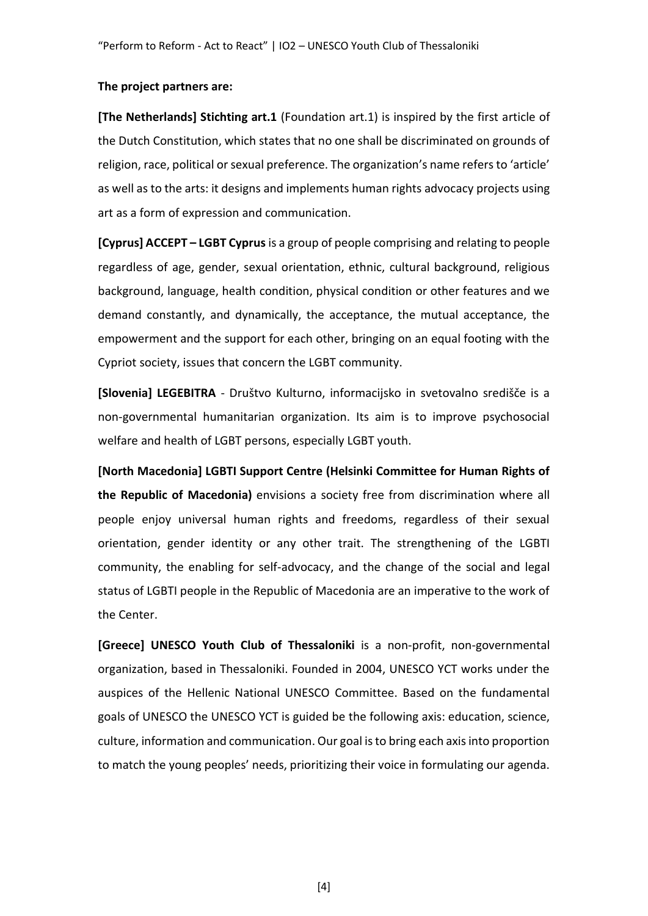#### **The project partners are:**

**[The Netherlands] Stichting art.1** (Foundation art.1) is inspired by the first article of the Dutch Constitution, which states that no one shall be discriminated on grounds of religion, race, political or sexual preference. The organization's name refers to 'article' as well as to the arts: it designs and implements human rights advocacy projects using art as a form of expression and communication.

**[Cyprus] ACCEPT – LGBT Cyprus**is a group of people comprising and relating to people regardless of age, gender, sexual orientation, ethnic, cultural background, religious background, language, health condition, physical condition or other features and we demand constantly, and dynamically, the acceptance, the mutual acceptance, the empowerment and the support for each other, bringing on an equal footing with the Cypriot society, issues that concern the LGBT community.

**[Slovenia] LEGEBITRA** - Društvo Kulturno, informacijsko in svetovalno središče is a non-governmental humanitarian organization. Its aim is to improve psychosocial welfare and health of LGBT persons, especially LGBT youth.

**[North Macedonia] LGBTI Support Centre (Helsinki Committee for Human Rights of the Republic of Macedonia)** envisions a society free from discrimination where all people enjoy universal human rights and freedoms, regardless of their sexual orientation, gender identity or any other trait. The strengthening of the LGBTI community, the enabling for self-advocacy, and the change of the social and legal status of LGBTI people in the Republic of Macedonia are an imperative to the work of the Center.

**[Greece] UNESCO Youth Club of Thessaloniki** is a non-profit, non-governmental organization, based in Thessaloniki. Founded in 2004, UNESCO YCT works under the auspices of the Hellenic National UNESCO Committee. Based on the fundamental goals of UNESCO the UNESCO YCT is guided be the following axis: education, science, culture, information and communication. Our goal is to bring each axis into proportion to match the young peoples' needs, prioritizing their voice in formulating our agenda.

[4]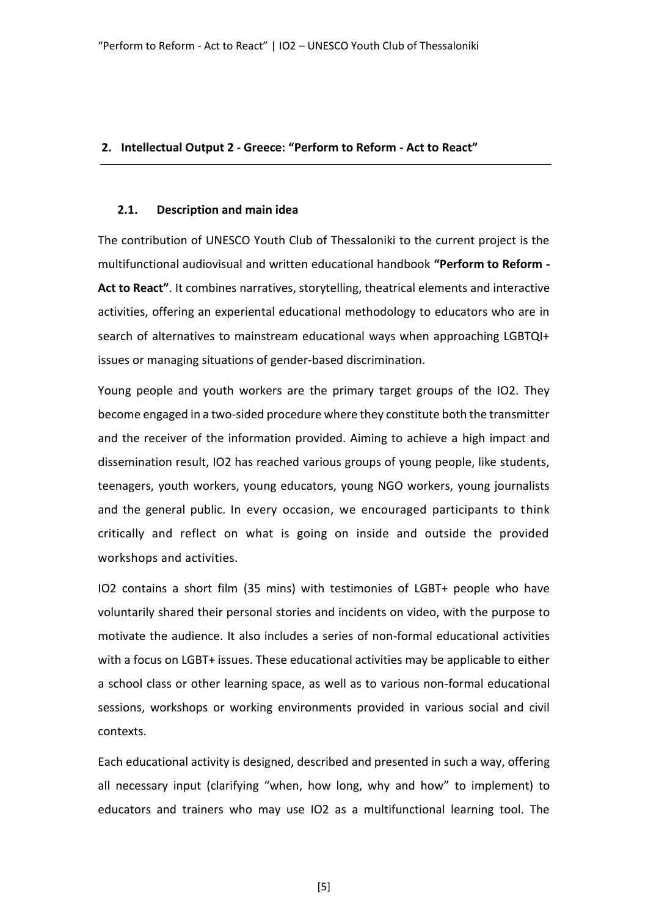#### **2. Intellectual Output 2 - Greece: "Perform to Reform - Act to React"**

#### **2.1. Description and main idea**

The contribution of UNESCO Youth Club of Thessaloniki to the current project is the multifunctional audiovisual and written educational handbook **"Perform to Reform - Act to React"**. It combines narratives, storytelling, theatrical elements and interactive activities, offering an experiental educational methodology to educators who are in search of alternatives to mainstream educational ways when approaching LGBTQI+ issues or managing situations of gender-based discrimination.

Young people and youth workers are the primary target groups of the IO2. They become engaged in a two-sided procedure where they constitute both the transmitter and the receiver of the information provided. Aiming to achieve a high impact and dissemination result, IO2 has reached various groups of young people, like students, teenagers, youth workers, young educators, young NGO workers, young journalists and the general public. In every occasion, we encouraged participants to think critically and reflect on what is going on inside and outside the provided workshops and activities.

IO2 contains a short film (35 mins) with testimonies of LGBT+ people who have voluntarily shared their personal stories and incidents on video, with the purpose to motivate the audience. It also includes a series of non-formal educational activities with a focus on LGBT+ issues. These educational activities may be applicable to either a school class or other learning space, as well as to various non-formal educational sessions, workshops or working environments provided in various social and civil contexts.

Each educational activity is designed, described and presented in such a way, offering all necessary input (clarifying "when, how long, why and how" to implement) to educators and trainers who may use IO2 as a multifunctional learning tool. The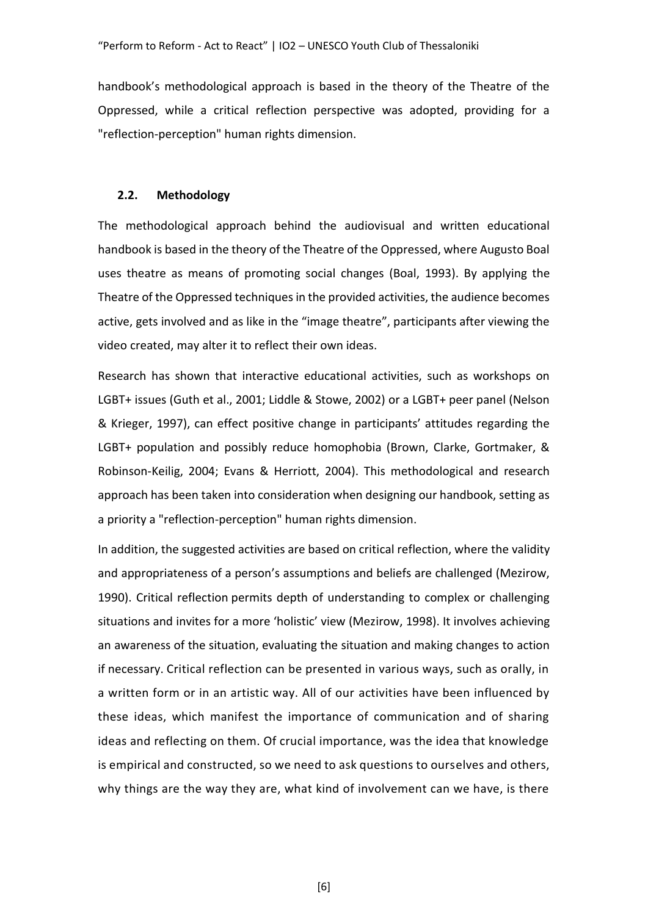handbook's methodological approach is based in the theory of the Theatre of the Oppressed, while a critical reflection perspective was adopted, providing for a "reflection-perception" human rights dimension.

#### **2.2. Methodology**

The methodological approach behind the audiovisual and written educational handbook is based in the theory of the Theatre of the Oppressed, where Augusto Boal uses theatre as means of promoting social changes (Boal, 1993). By applying the Theatre of the Oppressed techniques in the provided activities, the audience becomes active, gets involved and as like in the "image theatre", participants after viewing the video created, may alter it to reflect their own ideas.

Research has shown that interactive educational activities, such as workshops on LGBT+ issues (Guth et al., 2001; Liddle & Stowe, 2002) or a LGBT+ peer panel (Nelson & Krieger, 1997), can effect positive change in participants' attitudes regarding the LGBT+ population and possibly reduce homophobia (Brown, Clarke, Gortmaker, & Robinson-Keilig, 2004; Evans & Herriott, 2004). This methodological and research approach has been taken into consideration when designing our handbook, setting as a priority a "reflection-perception" human rights dimension.

In addition, the suggested activities are based on critical reflection, where the validity and appropriateness of a person's assumptions and beliefs are challenged (Mezirow, 1990). Critical reflection permits depth of understanding to complex or challenging situations and invites for a more 'holistic' view (Mezirow, 1998). It involves achieving an awareness of the situation, evaluating the situation and making changes to action if necessary. Critical reflection can be presented in various ways, such as orally, in a written form or in an artistic way. All of our activities have been influenced by these ideas, which manifest the importance of communication and of sharing ideas and reflecting on them. Of crucial importance, was the idea that knowledge is empirical and constructed, so we need to ask questions to ourselves and others, why things are the way they are, what kind of involvement can we have, is there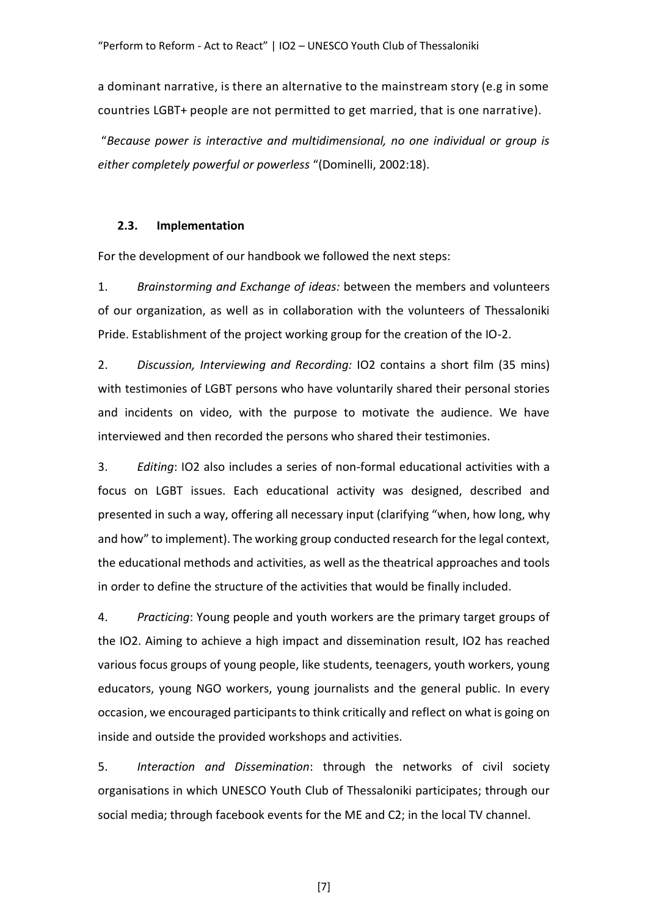a dominant narrative, is there an alternative to the mainstream story (e.g in some countries LGBT+ people are not permitted to get married, that is one narrative).

"*Because power is interactive and multidimensional, no one individual or group is either completely powerful or powerless* "(Dominelli, 2002:18).

#### **2.3. Implementation**

For the development of our handbook we followed the next steps:

1. *Brainstorming and Exchange of ideas:* between the members and volunteers of our organization, as well as in collaboration with the volunteers of Thessaloniki Pride. Establishment of the project working group for the creation of the IO-2.

2. *Discussion, Interviewing and Recording:* IO2 contains a short film (35 mins) with testimonies of LGBT persons who have voluntarily shared their personal stories and incidents on video, with the purpose to motivate the audience. We have interviewed and then recorded the persons who shared their testimonies.

3. *Editing*: IO2 also includes a series of non-formal educational activities with a focus on LGBT issues. Each educational activity was designed, described and presented in such a way, offering all necessary input (clarifying "when, how long, why and how" to implement). The working group conducted research for the legal context, the educational methods and activities, as well as the theatrical approaches and tools in order to define the structure of the activities that would be finally included.

4. *Practicing*: Young people and youth workers are the primary target groups of the IO2. Aiming to achieve a high impact and dissemination result, IO2 has reached various focus groups of young people, like students, teenagers, youth workers, young educators, young NGO workers, young journalists and the general public. In every occasion, we encouraged participants to think critically and reflect on what is going on inside and outside the provided workshops and activities.

5. *Interaction and Dissemination*: through the networks of civil society organisations in which UNESCO Youth Club of Thessaloniki participates; through our social media; through facebook events for the ME and C2; in the local TV channel.

[7]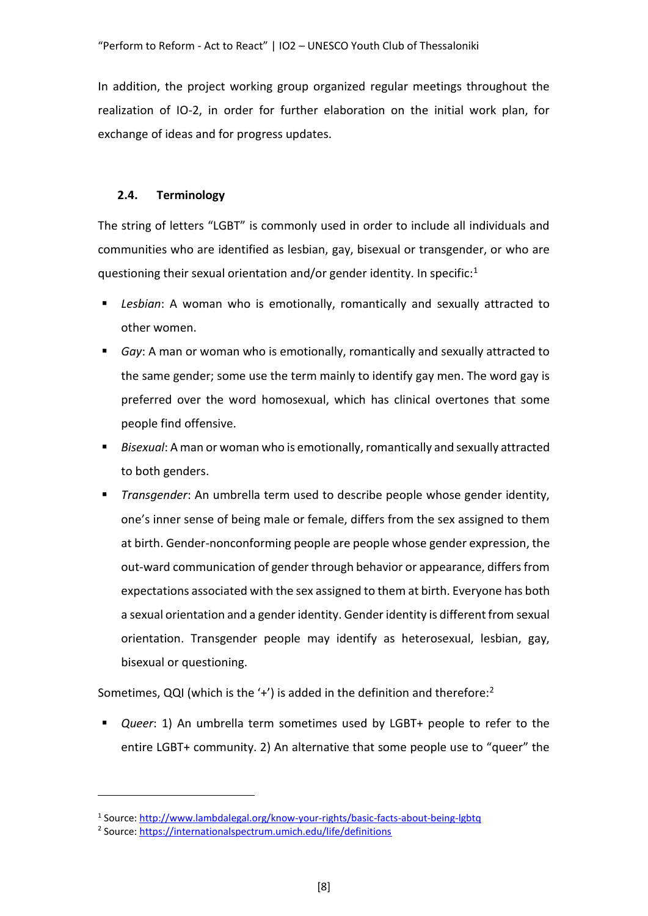In addition, the project working group organized regular meetings throughout the realization of IO-2, in order for further elaboration on the initial work plan, for exchange of ideas and for progress updates.

### **2.4. Terminology**

The string of letters "LGBT" is commonly used in order to include all individuals and communities who are identified as lesbian, gay, bisexual or transgender, or who are questioning their sexual orientation and/or gender identity. In specific: $1$ 

- *Lesbian*: A woman who is emotionally, romantically and sexually attracted to other women.
- *Gay*: A man or woman who is emotionally, romantically and sexually attracted to the same gender; some use the term mainly to identify gay men. The word gay is preferred over the word homosexual, which has clinical overtones that some people find offensive.
- Bisexual: A man or woman who is emotionally, romantically and sexually attracted to both genders.
- *Transgender*: An umbrella term used to describe people whose gender identity, one's inner sense of being male or female, differs from the sex assigned to them at birth. Gender-nonconforming people are people whose gender expression, the out-ward communication of gender through behavior or appearance, differs from expectations associated with the sex assigned to them at birth. Everyone has both a sexual orientation and a gender identity. Gender identity is different from sexual orientation. Transgender people may identify as heterosexual, lesbian, gay, bisexual or questioning.

Sometimes, QQI (which is the '+') is added in the definition and therefore:<sup>2</sup>

*Queer*: 1) An umbrella term sometimes used by LGBT+ people to refer to the entire LGBT+ community. 2) An alternative that some people use to "queer" the

<sup>&</sup>lt;sup>1</sup> Source:<http://www.lambdalegal.org/know-your-rights/basic-facts-about-being-lgbtq>

<sup>&</sup>lt;sup>2</sup> Source:<https://internationalspectrum.umich.edu/life/definitions>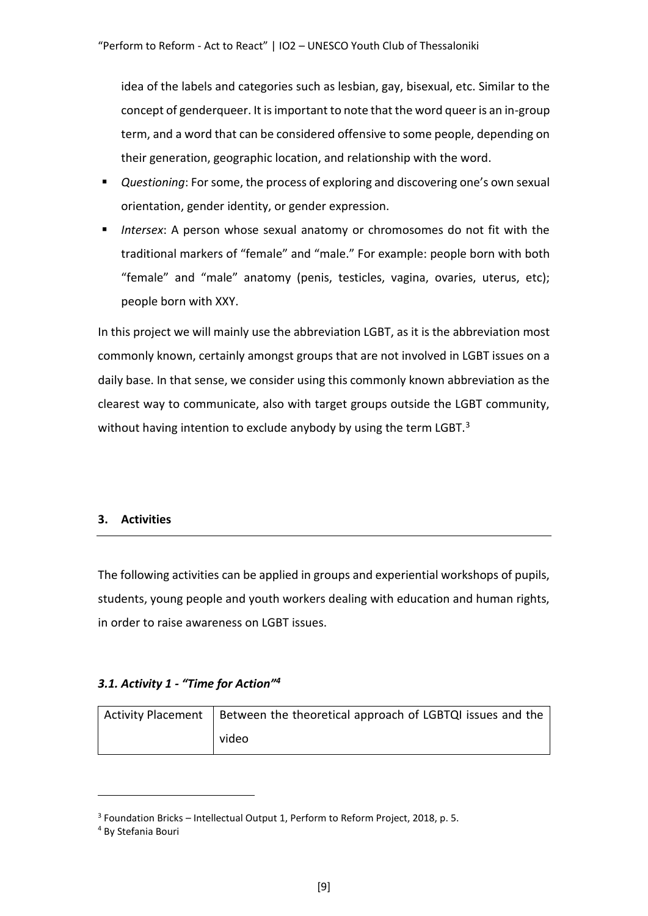idea of the labels and categories such as lesbian, gay, bisexual, etc. Similar to the concept of genderqueer. It is important to note that the word queer is an in-group term, and a word that can be considered offensive to some people, depending on their generation, geographic location, and relationship with the word.

- *Questioning*: For some, the process of exploring and discovering one's own sexual orientation, gender identity, or gender expression.
- Intersex: A person whose sexual anatomy or chromosomes do not fit with the traditional markers of "female" and "male." For example: people born with both "female" and "male" anatomy (penis, testicles, vagina, ovaries, uterus, etc); people born with XXY.

In this project we will mainly use the abbreviation LGBT, as it is the abbreviation most commonly known, certainly amongst groups that are not involved in LGBT issues on a daily base. In that sense, we consider using this commonly known abbreviation as the clearest way to communicate, also with target groups outside the LGBT community, without having intention to exclude anybody by using the term LGBT.<sup>3</sup>

### **3. Activities**

The following activities can be applied in groups and experiential workshops of pupils, students, young people and youth workers dealing with education and human rights, in order to raise awareness on LGBT issues.

### *3.1. Activity 1 - "Time for Action"<sup>4</sup>*

| Activity Placement   Between the theoretical approach of LGBTQI issues and the |  |
|--------------------------------------------------------------------------------|--|
| video                                                                          |  |

<sup>3</sup> Foundation Bricks – Intellectual Output 1, Perform to Reform Project, 2018, p. 5.

<sup>4</sup> By Stefania Bouri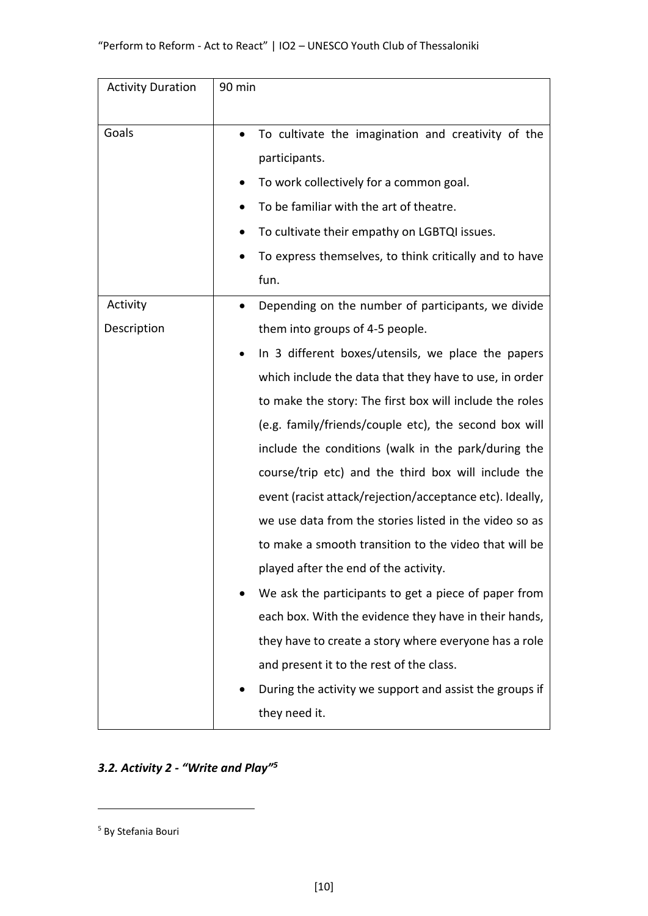| <b>Activity Duration</b> | 90 min                                                          |  |
|--------------------------|-----------------------------------------------------------------|--|
|                          |                                                                 |  |
| Goals                    | To cultivate the imagination and creativity of the<br>$\bullet$ |  |
|                          | participants.                                                   |  |
|                          | To work collectively for a common goal.                         |  |
|                          | To be familiar with the art of theatre.                         |  |
|                          | To cultivate their empathy on LGBTQI issues.                    |  |
|                          | To express themselves, to think critically and to have          |  |
|                          | fun.                                                            |  |
| Activity                 | Depending on the number of participants, we divide              |  |
| Description              | them into groups of 4-5 people.                                 |  |
|                          | In 3 different boxes/utensils, we place the papers              |  |
|                          | which include the data that they have to use, in order          |  |
|                          | to make the story: The first box will include the roles         |  |
|                          | (e.g. family/friends/couple etc), the second box will           |  |
|                          | include the conditions (walk in the park/during the             |  |
|                          | course/trip etc) and the third box will include the             |  |
|                          | event (racist attack/rejection/acceptance etc). Ideally,        |  |
|                          | we use data from the stories listed in the video so as          |  |
|                          | to make a smooth transition to the video that will be           |  |
|                          | played after the end of the activity.                           |  |
|                          | We ask the participants to get a piece of paper from            |  |
|                          | each box. With the evidence they have in their hands,           |  |
|                          | they have to create a story where everyone has a role           |  |
|                          | and present it to the rest of the class.                        |  |
|                          | During the activity we support and assist the groups if         |  |
|                          | they need it.                                                   |  |

## *3.2. Activity 2 - "Write and Play"<sup>5</sup>*

<sup>5</sup> By Stefania Bouri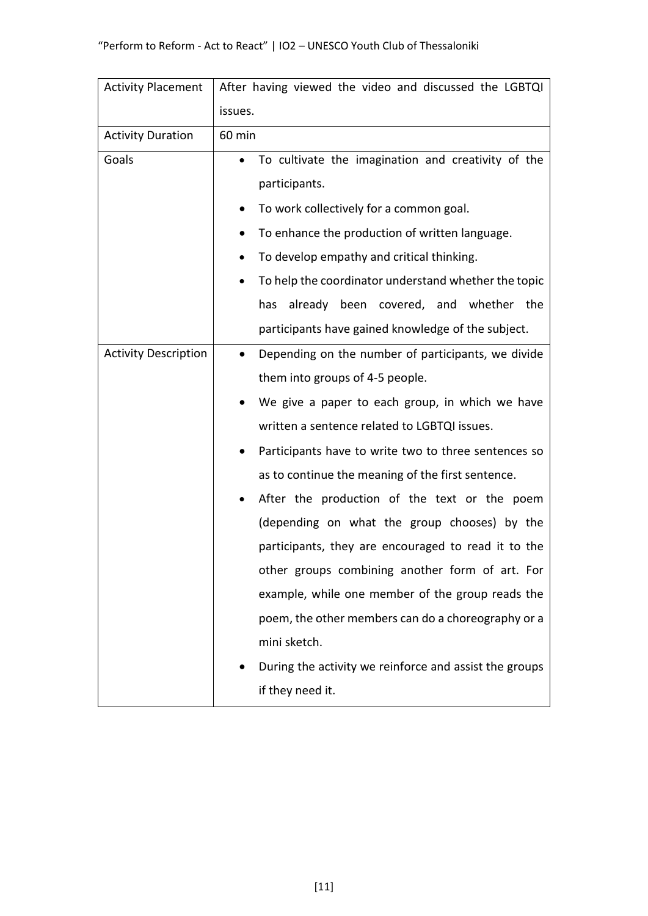| <b>Activity Placement</b>   | After having viewed the video and discussed the LGBTQI          |  |  |
|-----------------------------|-----------------------------------------------------------------|--|--|
|                             | issues.                                                         |  |  |
| <b>Activity Duration</b>    | 60 min                                                          |  |  |
| Goals                       | To cultivate the imagination and creativity of the<br>$\bullet$ |  |  |
|                             | participants.                                                   |  |  |
|                             | To work collectively for a common goal.                         |  |  |
|                             | To enhance the production of written language.<br>$\bullet$     |  |  |
|                             | To develop empathy and critical thinking.<br>٠                  |  |  |
|                             | To help the coordinator understand whether the topic            |  |  |
|                             | has already been covered, and whether the                       |  |  |
|                             | participants have gained knowledge of the subject.              |  |  |
| <b>Activity Description</b> | Depending on the number of participants, we divide<br>$\bullet$ |  |  |
|                             | them into groups of 4-5 people.                                 |  |  |
|                             | We give a paper to each group, in which we have                 |  |  |
|                             | written a sentence related to LGBTQI issues.                    |  |  |
|                             | Participants have to write two to three sentences so            |  |  |
|                             | as to continue the meaning of the first sentence.               |  |  |
|                             | After the production of the text or the poem<br>٠               |  |  |
|                             | (depending on what the group chooses) by the                    |  |  |
|                             | participants, they are encouraged to read it to the             |  |  |
|                             | other groups combining another form of art. For                 |  |  |
|                             | example, while one member of the group reads the                |  |  |
|                             | poem, the other members can do a choreography or a              |  |  |
|                             | mini sketch.                                                    |  |  |
|                             | During the activity we reinforce and assist the groups          |  |  |
|                             | if they need it.                                                |  |  |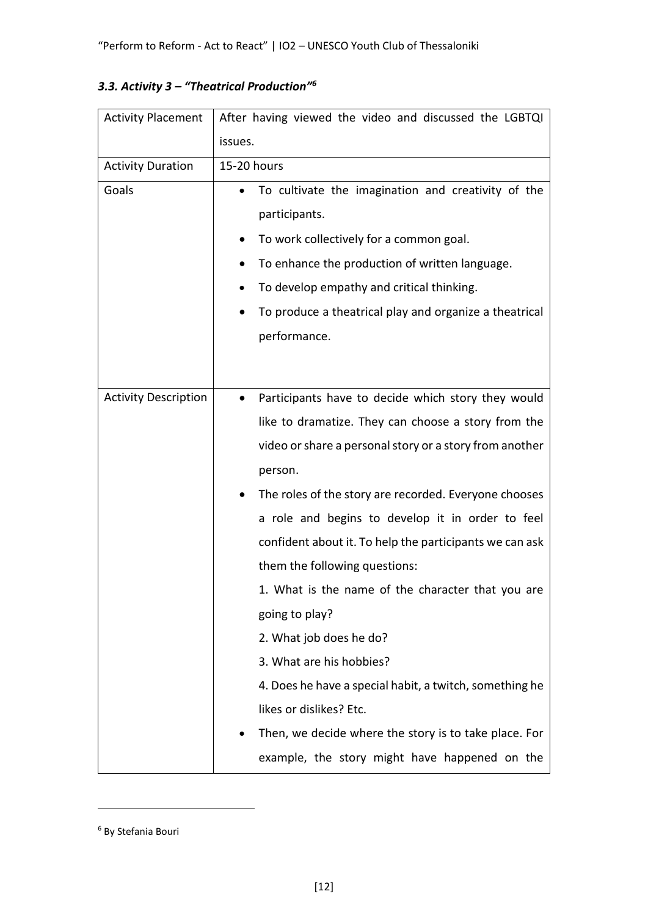|  |  |  | 3.3. Activity $3$ – "Theatrical Production" <sup>6</sup> |
|--|--|--|----------------------------------------------------------|
|--|--|--|----------------------------------------------------------|

| <b>Activity Placement</b>   | After having viewed the video and discussed the LGBTQI |                                                         |  |
|-----------------------------|--------------------------------------------------------|---------------------------------------------------------|--|
|                             | issues.                                                |                                                         |  |
| <b>Activity Duration</b>    | 15-20 hours                                            |                                                         |  |
| Goals                       |                                                        | To cultivate the imagination and creativity of the      |  |
|                             |                                                        | participants.                                           |  |
|                             |                                                        | To work collectively for a common goal.                 |  |
|                             |                                                        | To enhance the production of written language.          |  |
|                             | ٠                                                      | To develop empathy and critical thinking.               |  |
|                             |                                                        | To produce a theatrical play and organize a theatrical  |  |
|                             |                                                        | performance.                                            |  |
|                             |                                                        |                                                         |  |
|                             |                                                        |                                                         |  |
| <b>Activity Description</b> | $\bullet$                                              | Participants have to decide which story they would      |  |
|                             |                                                        | like to dramatize. They can choose a story from the     |  |
|                             |                                                        | video or share a personal story or a story from another |  |
|                             |                                                        | person.                                                 |  |
|                             |                                                        | The roles of the story are recorded. Everyone chooses   |  |
|                             |                                                        | a role and begins to develop it in order to feel        |  |
|                             |                                                        | confident about it. To help the participants we can ask |  |
|                             |                                                        | them the following questions:                           |  |
|                             |                                                        | 1. What is the name of the character that you are       |  |
|                             |                                                        | going to play?                                          |  |
|                             |                                                        | 2. What job does he do?                                 |  |
|                             |                                                        | 3. What are his hobbies?                                |  |
|                             |                                                        | 4. Does he have a special habit, a twitch, something he |  |
|                             |                                                        | likes or dislikes? Etc.                                 |  |
|                             |                                                        | Then, we decide where the story is to take place. For   |  |
|                             |                                                        | example, the story might have happened on the           |  |

<sup>6</sup> By Stefania Bouri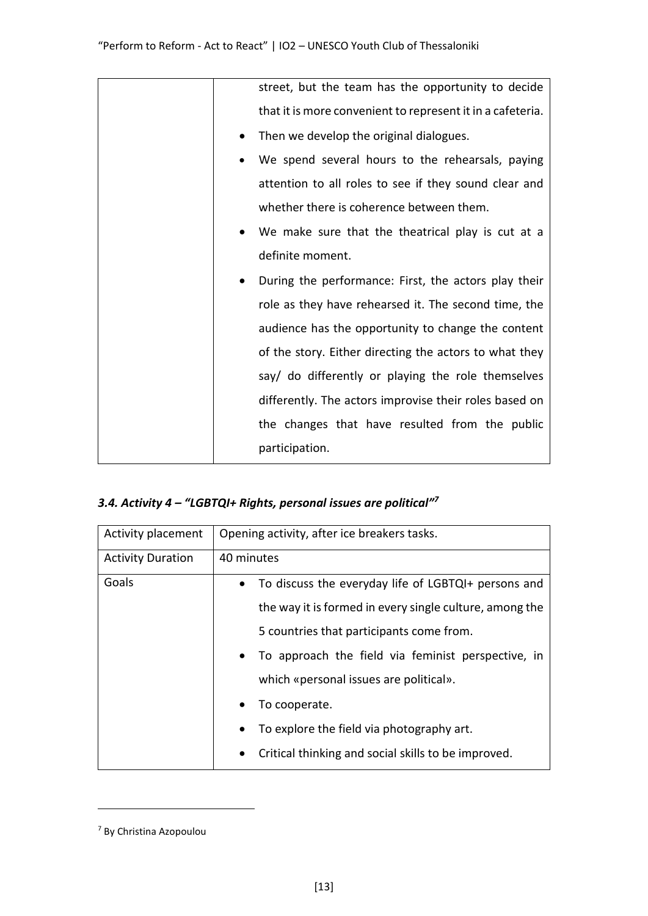| street, but the team has the opportunity to decide                |
|-------------------------------------------------------------------|
| that it is more convenient to represent it in a cafeteria.        |
| Then we develop the original dialogues.                           |
| We spend several hours to the rehearsals, paying                  |
| attention to all roles to see if they sound clear and             |
| whether there is coherence between them.                          |
| We make sure that the theatrical play is cut at a                 |
| definite moment.                                                  |
| During the performance: First, the actors play their<br>$\bullet$ |
| role as they have rehearsed it. The second time, the              |
| audience has the opportunity to change the content                |
| of the story. Either directing the actors to what they            |
| say/ do differently or playing the role themselves                |
| differently. The actors improvise their roles based on            |
| the changes that have resulted from the public                    |
| participation.                                                    |

## *3.4. Activity 4 – "LGBTQI+ Rights, personal issues are political"<sup>7</sup>*

| Activity placement       | Opening activity, after ice breakers tasks.             |  |
|--------------------------|---------------------------------------------------------|--|
| <b>Activity Duration</b> | 40 minutes                                              |  |
| Goals                    | To discuss the everyday life of LGBTQI+ persons and     |  |
|                          | the way it is formed in every single culture, among the |  |
|                          | 5 countries that participants come from.                |  |
|                          | To approach the field via feminist perspective, in      |  |
|                          | which «personal issues are political».                  |  |
|                          | To cooperate.                                           |  |
|                          | To explore the field via photography art.               |  |
|                          | Critical thinking and social skills to be improved.     |  |

<sup>7</sup> By Christina Azopoulou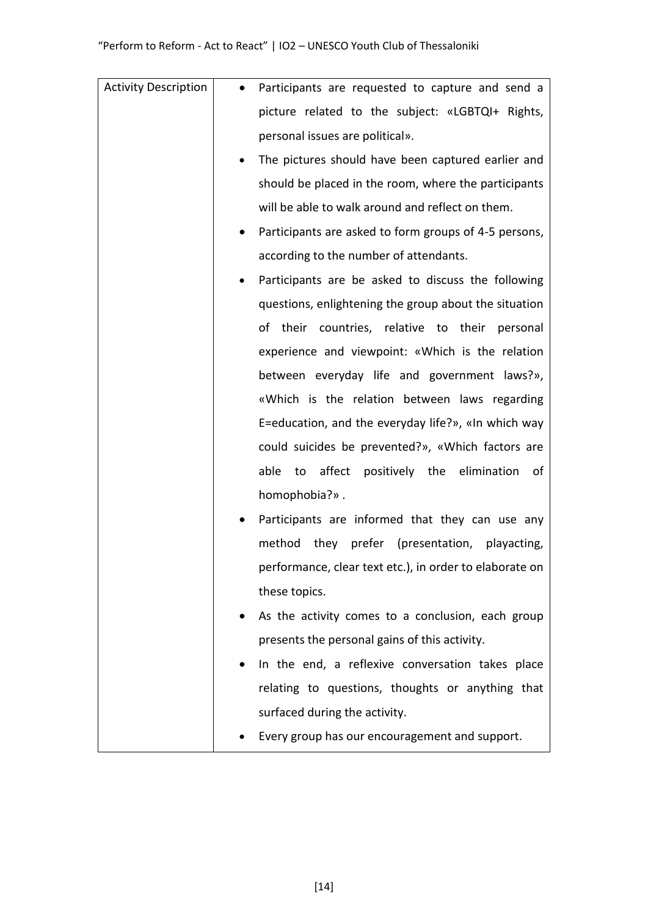| <b>Activity Description</b> | $\bullet$ | Participants are requested to capture and send a        |
|-----------------------------|-----------|---------------------------------------------------------|
|                             |           | picture related to the subject: «LGBTQI+ Rights,        |
|                             |           | personal issues are political».                         |
|                             | $\bullet$ | The pictures should have been captured earlier and      |
|                             |           | should be placed in the room, where the participants    |
|                             |           | will be able to walk around and reflect on them.        |
|                             |           | Participants are asked to form groups of 4-5 persons,   |
|                             |           | according to the number of attendants.                  |
|                             |           | Participants are be asked to discuss the following      |
|                             |           | questions, enlightening the group about the situation   |
|                             |           | of their countries, relative to their personal          |
|                             |           | experience and viewpoint: «Which is the relation        |
|                             |           | between everyday life and government laws?»,            |
|                             |           | «Which is the relation between laws regarding           |
|                             |           | E=education, and the everyday life?», «In which way     |
|                             |           | could suicides be prevented?», «Which factors are       |
|                             |           | affect positively the elimination<br>able<br>to<br>0f   |
|                             |           | homophobia?».                                           |
|                             |           | Participants are informed that they can use any         |
|                             |           | method<br>they prefer (presentation, playacting,        |
|                             |           | performance, clear text etc.), in order to elaborate on |
|                             |           | these topics.                                           |
|                             |           | As the activity comes to a conclusion, each group       |
|                             |           | presents the personal gains of this activity.           |
|                             |           | In the end, a reflexive conversation takes place        |
|                             |           | relating to questions, thoughts or anything that        |
|                             |           | surfaced during the activity.                           |
|                             |           | Every group has our encouragement and support.          |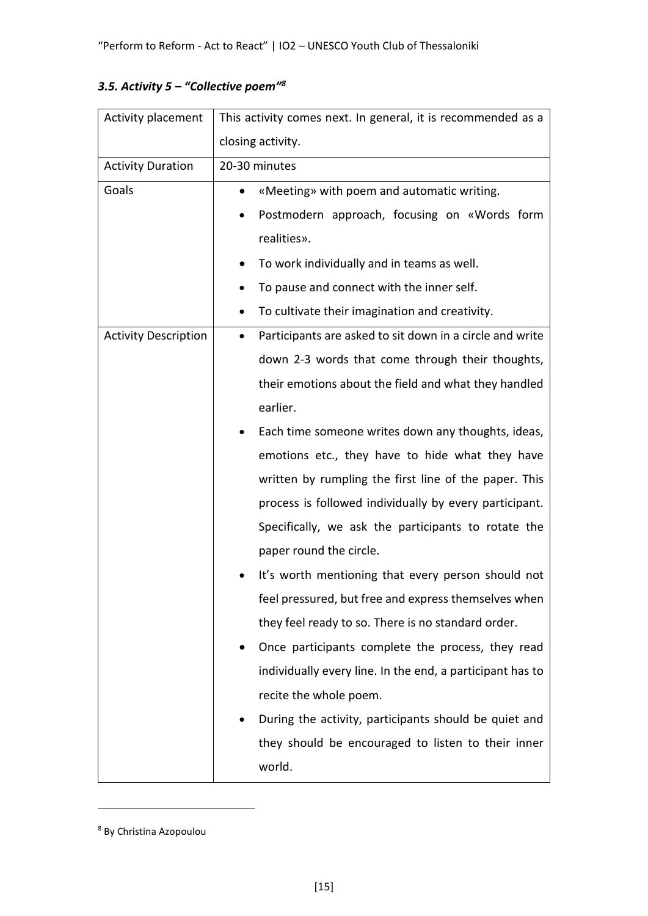| Activity placement          | This activity comes next. In general, it is recommended as a          |  |  |
|-----------------------------|-----------------------------------------------------------------------|--|--|
|                             | closing activity.                                                     |  |  |
| <b>Activity Duration</b>    | 20-30 minutes                                                         |  |  |
| Goals                       | «Meeting» with poem and automatic writing.<br>$\bullet$               |  |  |
|                             | Postmodern approach, focusing on «Words form<br>٠                     |  |  |
|                             | realities».                                                           |  |  |
|                             | To work individually and in teams as well.                            |  |  |
|                             | To pause and connect with the inner self.<br>٠                        |  |  |
|                             | To cultivate their imagination and creativity.                        |  |  |
| <b>Activity Description</b> | Participants are asked to sit down in a circle and write<br>$\bullet$ |  |  |
|                             | down 2-3 words that come through their thoughts,                      |  |  |
|                             | their emotions about the field and what they handled                  |  |  |
|                             | earlier.                                                              |  |  |
|                             | Each time someone writes down any thoughts, ideas,<br>٠               |  |  |
|                             | emotions etc., they have to hide what they have                       |  |  |
|                             | written by rumpling the first line of the paper. This                 |  |  |
|                             | process is followed individually by every participant.                |  |  |
|                             | Specifically, we ask the participants to rotate the                   |  |  |
|                             | paper round the circle.                                               |  |  |
|                             | It's worth mentioning that every person should not                    |  |  |
|                             | feel pressured, but free and express themselves when                  |  |  |
|                             | they feel ready to so. There is no standard order.                    |  |  |
|                             | Once participants complete the process, they read                     |  |  |
|                             | individually every line. In the end, a participant has to             |  |  |
|                             | recite the whole poem.                                                |  |  |
|                             | During the activity, participants should be quiet and<br>٠            |  |  |
|                             | they should be encouraged to listen to their inner                    |  |  |
|                             | world.                                                                |  |  |

## *3.5. Activity 5 – "Collective poem"<sup>8</sup>*

<sup>8</sup> By Christina Azopoulou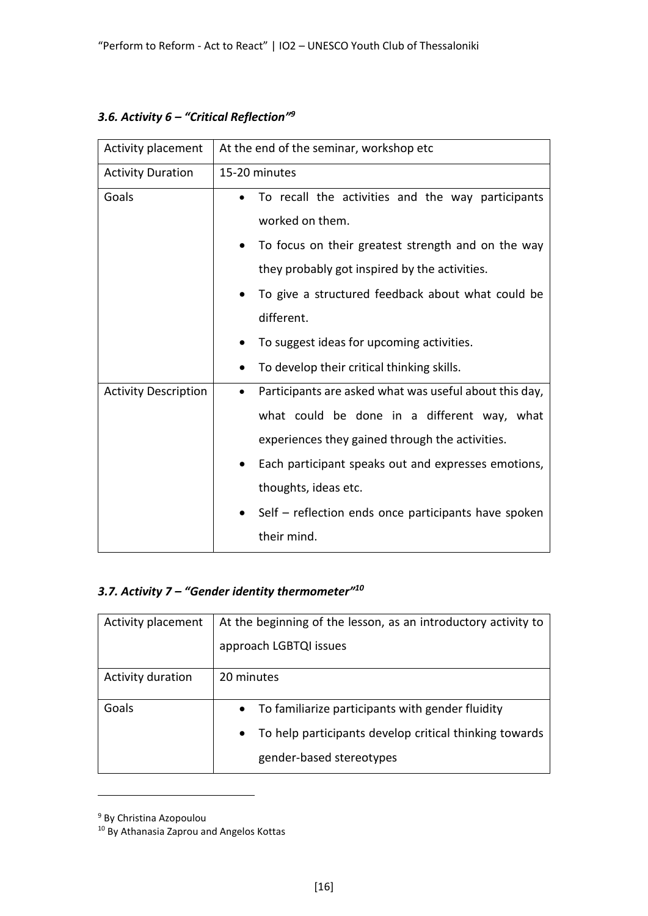| 3.6. Activity $6$ – "Critical Reflection" <sup>9</sup> |  |  |
|--------------------------------------------------------|--|--|
|--------------------------------------------------------|--|--|

| Activity placement          | At the end of the seminar, workshop etc                             |  |
|-----------------------------|---------------------------------------------------------------------|--|
| <b>Activity Duration</b>    | 15-20 minutes                                                       |  |
| Goals                       | To recall the activities and the way participants<br>$\bullet$      |  |
|                             | worked on them.                                                     |  |
|                             | To focus on their greatest strength and on the way<br>$\bullet$     |  |
|                             | they probably got inspired by the activities.                       |  |
|                             | To give a structured feedback about what could be                   |  |
|                             | different.                                                          |  |
|                             | To suggest ideas for upcoming activities.<br>$\bullet$              |  |
|                             | To develop their critical thinking skills.                          |  |
| <b>Activity Description</b> | Participants are asked what was useful about this day,<br>$\bullet$ |  |
|                             | what could be done in a different way, what                         |  |
|                             | experiences they gained through the activities.                     |  |
|                             | Each participant speaks out and expresses emotions,<br>$\bullet$    |  |
|                             | thoughts, ideas etc.                                                |  |
|                             | Self – reflection ends once participants have spoken                |  |
|                             | their mind.                                                         |  |

## *3.7. Activity 7 – "Gender identity thermometer"<sup>10</sup>*

| Activity placement | At the beginning of the lesson, as an introductory activity to                                  |  |
|--------------------|-------------------------------------------------------------------------------------------------|--|
|                    | approach LGBTQI issues                                                                          |  |
| Activity duration  | 20 minutes                                                                                      |  |
| Goals              | To familiarize participants with gender fluidity<br>$\bullet$                                   |  |
|                    | To help participants develop critical thinking towards<br>$\bullet$<br>gender-based stereotypes |  |

<sup>9</sup> By Christina Azopoulou

<sup>10</sup> By Athanasia Zaprou and Angelos Kottas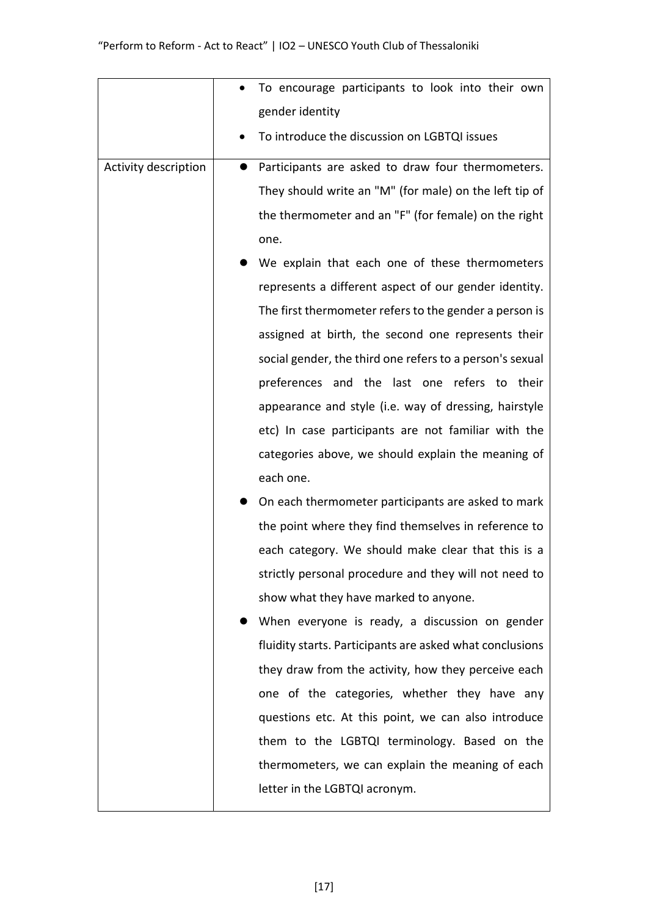|                      | To encourage participants to look into their own         |
|----------------------|----------------------------------------------------------|
|                      | gender identity                                          |
|                      | To introduce the discussion on LGBTQI issues             |
| Activity description | Participants are asked to draw four thermometers.        |
|                      | They should write an "M" (for male) on the left tip of   |
|                      | the thermometer and an "F" (for female) on the right     |
|                      | one.                                                     |
|                      | We explain that each one of these thermometers           |
|                      | represents a different aspect of our gender identity.    |
|                      | The first thermometer refers to the gender a person is   |
|                      | assigned at birth, the second one represents their       |
|                      | social gender, the third one refers to a person's sexual |
|                      | preferences and the last one refers to their             |
|                      | appearance and style (i.e. way of dressing, hairstyle    |
|                      | etc) In case participants are not familiar with the      |
|                      | categories above, we should explain the meaning of       |
|                      | each one.                                                |
|                      | On each thermometer participants are asked to mark       |
|                      | the point where they find themselves in reference to     |
|                      | each category. We should make clear that this is a       |
|                      | strictly personal procedure and they will not need to    |
|                      | show what they have marked to anyone.                    |
|                      | When everyone is ready, a discussion on gender           |
|                      | fluidity starts. Participants are asked what conclusions |
|                      | they draw from the activity, how they perceive each      |
|                      | one of the categories, whether they have any             |
|                      | questions etc. At this point, we can also introduce      |
|                      | them to the LGBTQI terminology. Based on the             |
|                      | thermometers, we can explain the meaning of each         |
|                      | letter in the LGBTQI acronym.                            |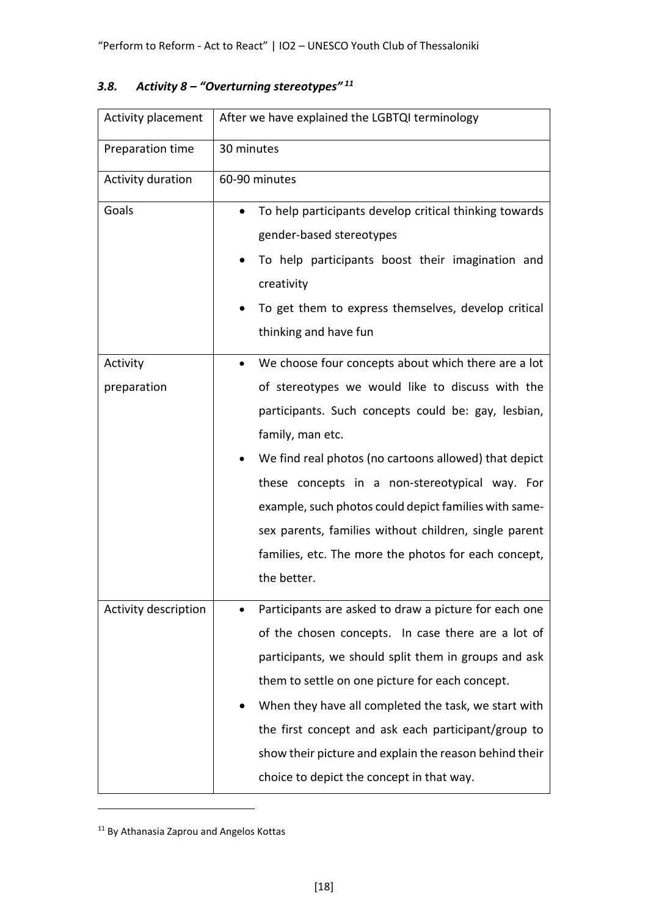| Activity placement      | After we have explained the LGBTQI terminology                                                                                                                                                                                                                                                                                                                                                                                                                                                      |  |  |
|-------------------------|-----------------------------------------------------------------------------------------------------------------------------------------------------------------------------------------------------------------------------------------------------------------------------------------------------------------------------------------------------------------------------------------------------------------------------------------------------------------------------------------------------|--|--|
| Preparation time        | 30 minutes                                                                                                                                                                                                                                                                                                                                                                                                                                                                                          |  |  |
| Activity duration       | 60-90 minutes                                                                                                                                                                                                                                                                                                                                                                                                                                                                                       |  |  |
| Goals                   | To help participants develop critical thinking towards<br>gender-based stereotypes<br>To help participants boost their imagination and<br>creativity<br>To get them to express themselves, develop critical<br>thinking and have fun                                                                                                                                                                                                                                                                |  |  |
| Activity<br>preparation | We choose four concepts about which there are a lot<br>$\bullet$<br>of stereotypes we would like to discuss with the<br>participants. Such concepts could be: gay, lesbian,<br>family, man etc.<br>We find real photos (no cartoons allowed) that depict<br>these concepts in a non-stereotypical way. For<br>example, such photos could depict families with same-<br>sex parents, families without children, single parent<br>families, etc. The more the photos for each concept,<br>the better. |  |  |
| Activity description    | Participants are asked to draw a picture for each one<br>of the chosen concepts. In case there are a lot of<br>participants, we should split them in groups and ask<br>them to settle on one picture for each concept.<br>When they have all completed the task, we start with<br>the first concept and ask each participant/group to<br>show their picture and explain the reason behind their<br>choice to depict the concept in that way.                                                        |  |  |

## *3.8. Activity 8 – "Overturning stereotypes" <sup>11</sup>*

<sup>11</sup> By Athanasia Zaprou and Angelos Kottas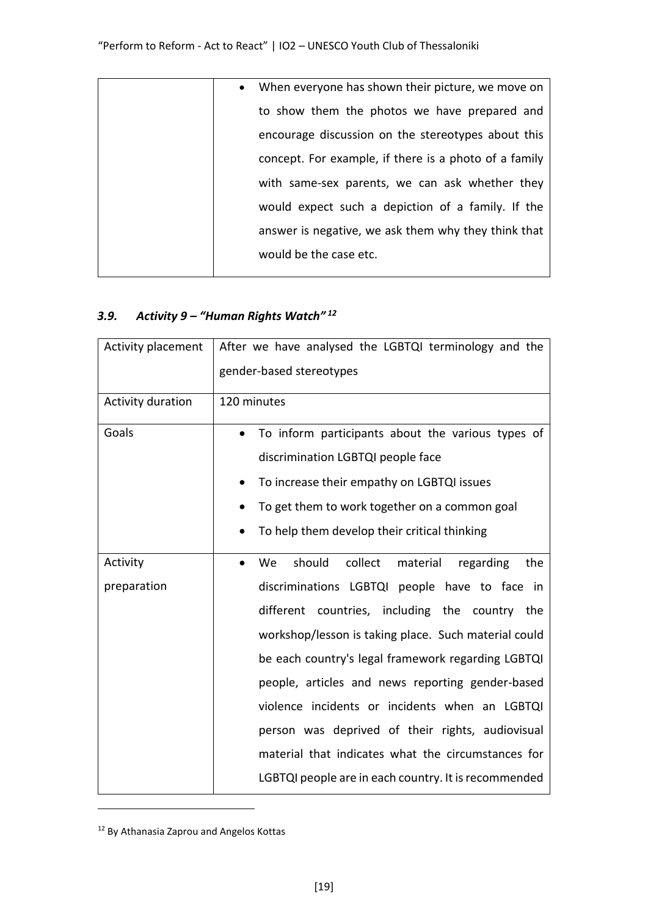| $\bullet$ | When everyone has shown their picture, we move on     |
|-----------|-------------------------------------------------------|
|           | to show them the photos we have prepared and          |
|           | encourage discussion on the stereotypes about this    |
|           | concept. For example, if there is a photo of a family |
|           | with same-sex parents, we can ask whether they        |
|           | would expect such a depiction of a family. If the     |
|           | answer is negative, we ask them why they think that   |
|           | would be the case etc.                                |
|           |                                                       |

### *3.9. Activity 9 – "Human Rights Watch" <sup>12</sup>*

| Activity placement | After we have analysed the LGBTQI terminology and the<br>gender-based stereotypes |
|--------------------|-----------------------------------------------------------------------------------|
|                    |                                                                                   |
| Activity duration  | 120 minutes                                                                       |
| Goals              | To inform participants about the various types of                                 |
|                    | discrimination LGBTQI people face                                                 |
|                    | To increase their empathy on LGBTQI issues                                        |
|                    | To get them to work together on a common goal                                     |
|                    | To help them develop their critical thinking                                      |
| Activity           | should<br>collect<br>material<br>the<br>We<br>regarding                           |
| preparation        | discriminations LGBTQI people have to face in                                     |
|                    | different countries, including the country the                                    |
|                    | workshop/lesson is taking place. Such material could                              |
|                    | be each country's legal framework regarding LGBTQI                                |
|                    | people, articles and news reporting gender-based                                  |
|                    | violence incidents or incidents when an LGBTQI                                    |
|                    | person was deprived of their rights, audiovisual                                  |
|                    | material that indicates what the circumstances for                                |
|                    | LGBTQI people are in each country. It is recommended                              |

<sup>12</sup> By Athanasia Zaprou and Angelos Kottas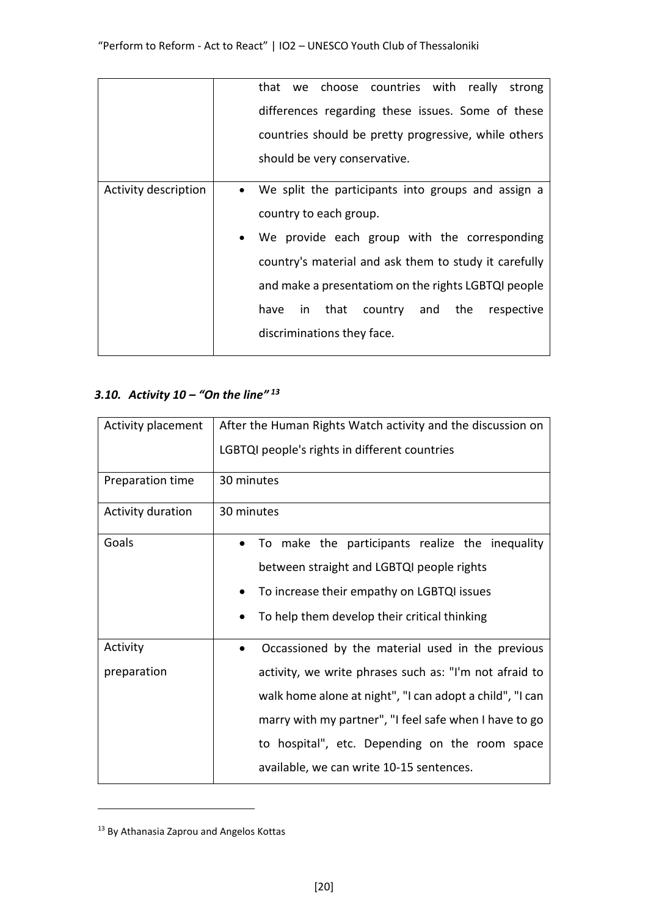|                      |           |      |                        | that we choose countries with really strong           |                 |  |            |
|----------------------|-----------|------|------------------------|-------------------------------------------------------|-----------------|--|------------|
|                      |           |      |                        | differences regarding these issues. Some of these     |                 |  |            |
|                      |           |      |                        | countries should be pretty progressive, while others  |                 |  |            |
|                      |           |      |                        | should be very conservative.                          |                 |  |            |
|                      |           |      |                        |                                                       |                 |  |            |
| Activity description | $\bullet$ |      |                        | We split the participants into groups and assign a    |                 |  |            |
|                      |           |      | country to each group. |                                                       |                 |  |            |
|                      |           |      |                        | We provide each group with the corresponding          |                 |  |            |
|                      |           |      |                        | country's material and ask them to study it carefully |                 |  |            |
|                      |           |      |                        | and make a presentatiom on the rights LGBTQI people   |                 |  |            |
|                      |           | have | in that                |                                                       | country and the |  | respective |
|                      |           |      |                        | discriminations they face.                            |                 |  |            |
|                      |           |      |                        |                                                       |                 |  |            |

## *3.10. Activity 10 – "On the line" <sup>13</sup>*

| Activity placement | After the Human Rights Watch activity and the discussion on |
|--------------------|-------------------------------------------------------------|
|                    | LGBTQI people's rights in different countries               |
| Preparation time   | 30 minutes                                                  |
| Activity duration  | 30 minutes                                                  |
| Goals              | To make the participants realize the inequality             |
|                    | between straight and LGBTQI people rights                   |
|                    | To increase their empathy on LGBTQI issues                  |
|                    | To help them develop their critical thinking                |
| Activity           | Occassioned by the material used in the previous            |
| preparation        | activity, we write phrases such as: "I'm not afraid to      |
|                    | walk home alone at night", "I can adopt a child", "I can    |
|                    | marry with my partner", "I feel safe when I have to go      |
|                    | to hospital", etc. Depending on the room space              |
|                    | available, we can write 10-15 sentences.                    |

<sup>13</sup> By Athanasia Zaprou and Angelos Kottas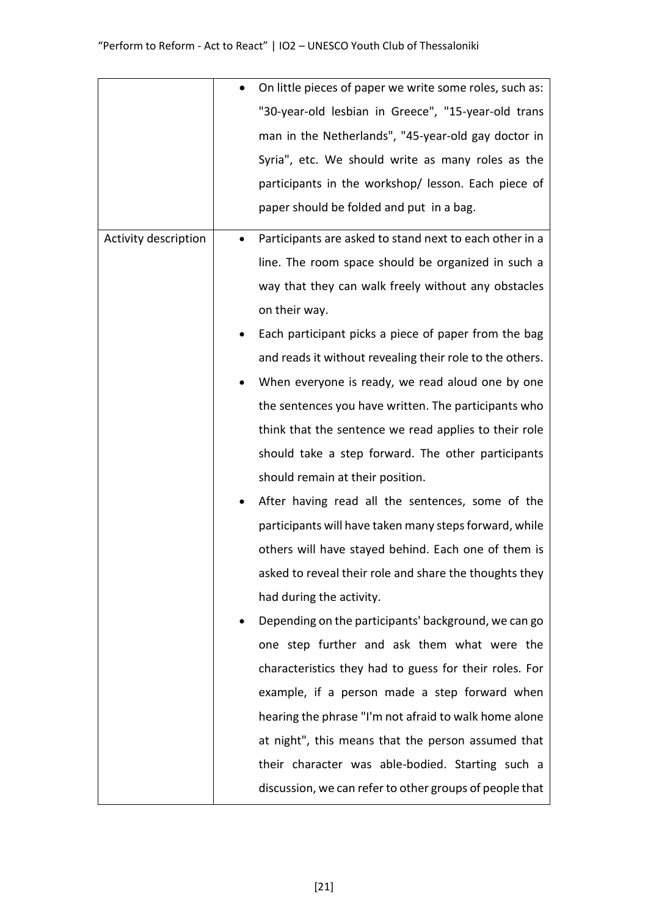|                      |           | On little pieces of paper we write some roles, such as:  |
|----------------------|-----------|----------------------------------------------------------|
|                      |           | "30-year-old lesbian in Greece", "15-year-old trans      |
|                      |           | man in the Netherlands", "45-year-old gay doctor in      |
|                      |           | Syria", etc. We should write as many roles as the        |
|                      |           | participants in the workshop/ lesson. Each piece of      |
|                      |           | paper should be folded and put in a bag.                 |
| Activity description |           | Participants are asked to stand next to each other in a  |
|                      |           | line. The room space should be organized in such a       |
|                      |           | way that they can walk freely without any obstacles      |
|                      |           | on their way.                                            |
|                      |           | Each participant picks a piece of paper from the bag     |
|                      |           | and reads it without revealing their role to the others. |
|                      | $\bullet$ | When everyone is ready, we read aloud one by one         |
|                      |           | the sentences you have written. The participants who     |
|                      |           | think that the sentence we read applies to their role    |
|                      |           | should take a step forward. The other participants       |
|                      |           | should remain at their position.                         |
|                      |           | After having read all the sentences, some of the         |
|                      |           | participants will have taken many steps forward, while   |
|                      |           | others will have stayed behind. Each one of them is      |
|                      |           | asked to reveal their role and share the thoughts they   |
|                      |           | had during the activity.                                 |
|                      |           | Depending on the participants' background, we can go     |
|                      |           | one step further and ask them what were the              |
|                      |           | characteristics they had to guess for their roles. For   |
|                      |           | example, if a person made a step forward when            |
|                      |           | hearing the phrase "I'm not afraid to walk home alone    |
|                      |           | at night", this means that the person assumed that       |
|                      |           | their character was able-bodied. Starting such a         |
|                      |           | discussion, we can refer to other groups of people that  |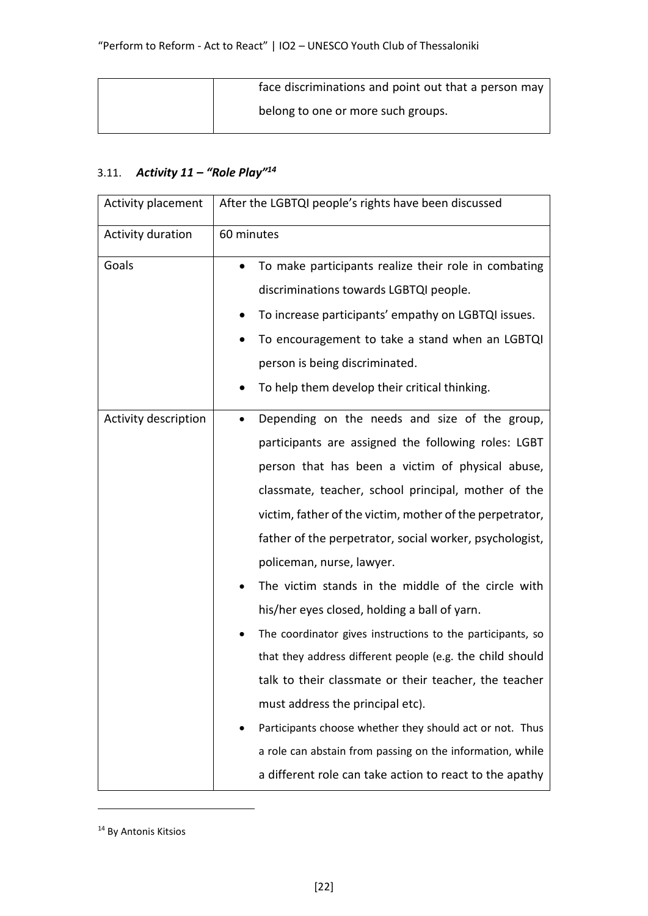| face discriminations and point out that a person may |
|------------------------------------------------------|
| belong to one or more such groups.                   |

# 3.11. *Activity 11 – "Role Play"<sup>14</sup>*

| Activity placement   | After the LGBTQI people's rights have been discussed             |
|----------------------|------------------------------------------------------------------|
| Activity duration    | 60 minutes                                                       |
| Goals                | To make participants realize their role in combating             |
|                      | discriminations towards LGBTQI people.                           |
|                      | To increase participants' empathy on LGBTQI issues.<br>$\bullet$ |
|                      | To encouragement to take a stand when an LGBTQI                  |
|                      | person is being discriminated.                                   |
|                      | To help them develop their critical thinking.                    |
| Activity description | Depending on the needs and size of the group,<br>٠               |
|                      | participants are assigned the following roles: LGBT              |
|                      | person that has been a victim of physical abuse,                 |
|                      | classmate, teacher, school principal, mother of the              |
|                      | victim, father of the victim, mother of the perpetrator,         |
|                      | father of the perpetrator, social worker, psychologist,          |
|                      | policeman, nurse, lawyer.                                        |
|                      | The victim stands in the middle of the circle with               |
|                      | his/her eyes closed, holding a ball of yarn.                     |
|                      | The coordinator gives instructions to the participants, so       |
|                      | that they address different people (e.g. the child should        |
|                      | talk to their classmate or their teacher, the teacher            |
|                      | must address the principal etc).                                 |
|                      | Participants choose whether they should act or not. Thus         |
|                      | a role can abstain from passing on the information, while        |
|                      | a different role can take action to react to the apathy          |

<sup>&</sup>lt;sup>14</sup> By Antonis Kitsios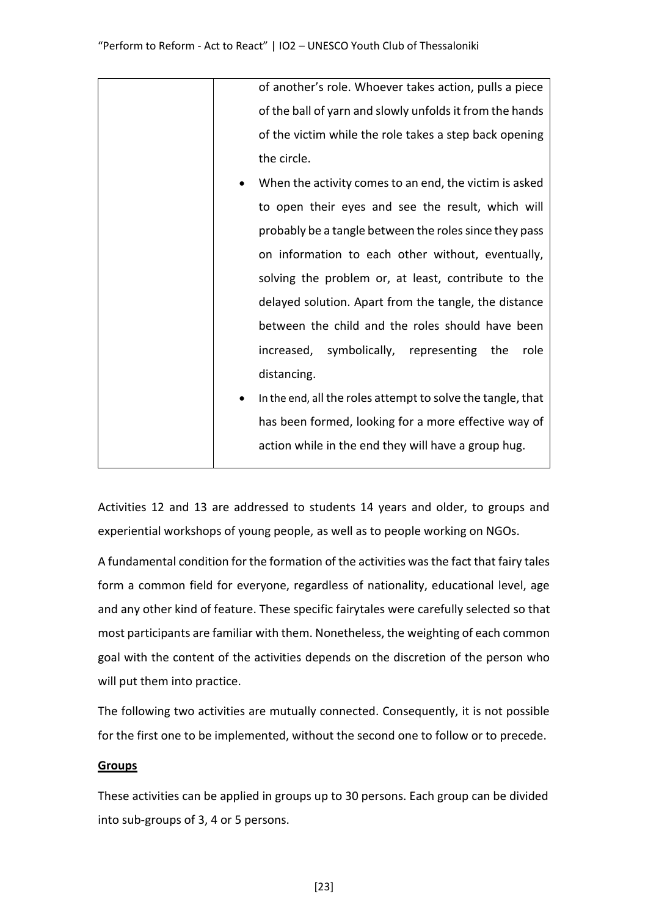| of another's role. Whoever takes action, pulls a piece      |
|-------------------------------------------------------------|
| of the ball of yarn and slowly unfolds it from the hands    |
| of the victim while the role takes a step back opening      |
| the circle.                                                 |
| When the activity comes to an end, the victim is asked      |
| to open their eyes and see the result, which will           |
| probably be a tangle between the roles since they pass      |
| on information to each other without, eventually,           |
| solving the problem or, at least, contribute to the         |
| delayed solution. Apart from the tangle, the distance       |
| between the child and the roles should have been            |
| increased, symbolically, representing the<br>role           |
| distancing.                                                 |
| In the end, all the roles attempt to solve the tangle, that |
| has been formed, looking for a more effective way of        |
| action while in the end they will have a group hug.         |
|                                                             |

Activities 12 and 13 are addressed to students 14 years and older, to groups and experiential workshops of young people, as well as to people working on NGOs.

A fundamental condition for the formation of the activities was the fact that fairy tales form a common field for everyone, regardless of nationality, educational level, age and any other kind of feature. These specific fairytales were carefully selected so that most participants are familiar with them. Nonetheless, the weighting of each common goal with the content of the activities depends on the discretion of the person who will put them into practice.

The following two activities are mutually connected. Consequently, it is not possible for the first one to be implemented, without the second one to follow or to precede.

### **Groups**

These activities can be applied in groups up to 30 persons. Each group can be divided into sub-groups of 3, 4 or 5 persons.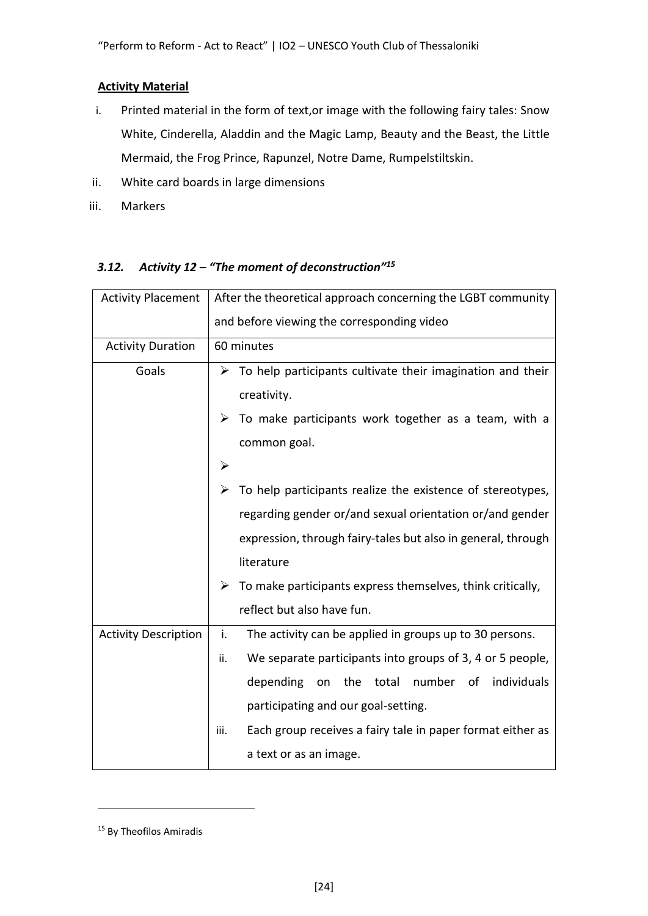### **Activity Material**

- i. Printed material in the form of text,or image with the following fairy tales: Snow White, Cinderella, Aladdin and the Magic Lamp, Beauty and the Beast, the Little Mermaid, the Frog Prince, Rapunzel, Notre Dame, Rumpelstiltskin.
- ii. White card boards in large dimensions
- iii. Markers

| <b>Activity Placement</b>   | After the theoretical approach concerning the LGBT community                |  |  |
|-----------------------------|-----------------------------------------------------------------------------|--|--|
|                             | and before viewing the corresponding video                                  |  |  |
| <b>Activity Duration</b>    | 60 minutes                                                                  |  |  |
| Goals                       | $\triangleright$ To help participants cultivate their imagination and their |  |  |
|                             | creativity.                                                                 |  |  |
|                             | $\triangleright$ To make participants work together as a team, with a       |  |  |
|                             | common goal.                                                                |  |  |
|                             | $\blacktriangleright$                                                       |  |  |
|                             | To help participants realize the existence of stereotypes,                  |  |  |
|                             | regarding gender or/and sexual orientation or/and gender                    |  |  |
|                             | expression, through fairy-tales but also in general, through                |  |  |
|                             | literature                                                                  |  |  |
|                             | $\triangleright$ To make participants express themselves, think critically, |  |  |
|                             | reflect but also have fun.                                                  |  |  |
| <b>Activity Description</b> | i.<br>The activity can be applied in groups up to 30 persons.               |  |  |
|                             | We separate participants into groups of 3, 4 or 5 people,<br>ii.            |  |  |
|                             | individuals<br>depending<br>the<br>total<br>number<br>on<br>of              |  |  |
|                             | participating and our goal-setting.                                         |  |  |
|                             | Each group receives a fairy tale in paper format either as<br>iii.          |  |  |
|                             | a text or as an image.                                                      |  |  |

### *3.12. Activity 12 – "The moment of deconstruction"<sup>15</sup>*

<sup>&</sup>lt;sup>15</sup> By Theofilos Amiradis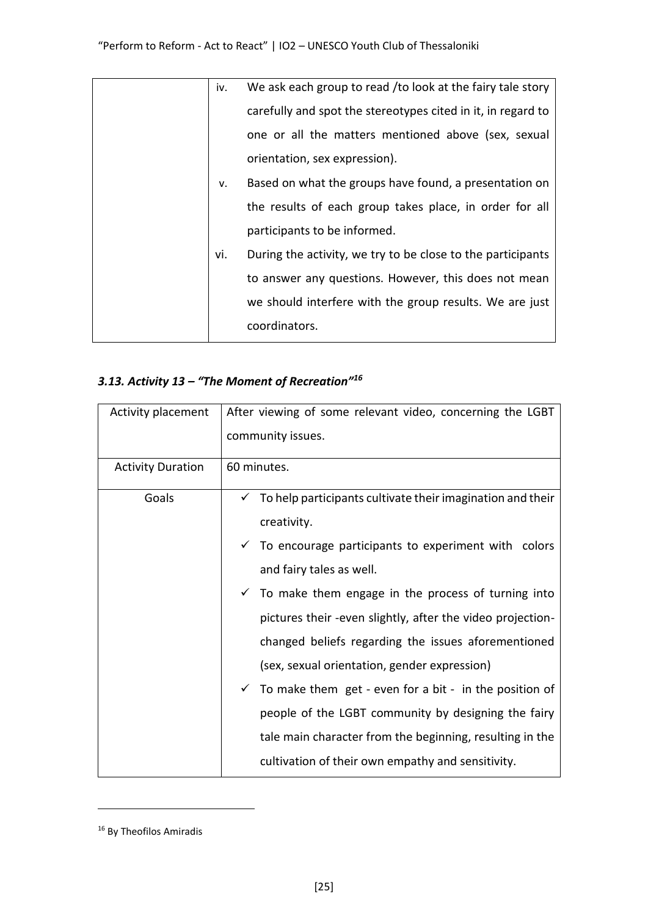| iv. | We ask each group to read /to look at the fairy tale story   |
|-----|--------------------------------------------------------------|
|     | carefully and spot the stereotypes cited in it, in regard to |
|     | one or all the matters mentioned above (sex, sexual          |
|     | orientation, sex expression).                                |
| v.  | Based on what the groups have found, a presentation on       |
|     | the results of each group takes place, in order for all      |
|     | participants to be informed.                                 |
| vi. | During the activity, we try to be close to the participants  |
|     | to answer any questions. However, this does not mean         |
|     | we should interfere with the group results. We are just      |
|     | coordinators.                                                |

## *3.13. Activity 13 – "The Moment of Recreation"<sup>16</sup>*

| Activity placement       | After viewing of some relevant video, concerning the LGBT               |  |  |
|--------------------------|-------------------------------------------------------------------------|--|--|
|                          | community issues.                                                       |  |  |
| <b>Activity Duration</b> | 60 minutes.                                                             |  |  |
| Goals                    | $\checkmark$ To help participants cultivate their imagination and their |  |  |
|                          | creativity.                                                             |  |  |
|                          | $\checkmark$ To encourage participants to experiment with colors        |  |  |
|                          | and fairy tales as well.                                                |  |  |
|                          | $\checkmark$ To make them engage in the process of turning into         |  |  |
|                          | pictures their -even slightly, after the video projection-              |  |  |
|                          | changed beliefs regarding the issues aforementioned                     |  |  |
|                          | (sex, sexual orientation, gender expression)                            |  |  |
|                          | $\checkmark$ To make them get - even for a bit - in the position of     |  |  |
|                          | people of the LGBT community by designing the fairy                     |  |  |
|                          | tale main character from the beginning, resulting in the                |  |  |
|                          | cultivation of their own empathy and sensitivity.                       |  |  |

<sup>16</sup> By Theofilos Amiradis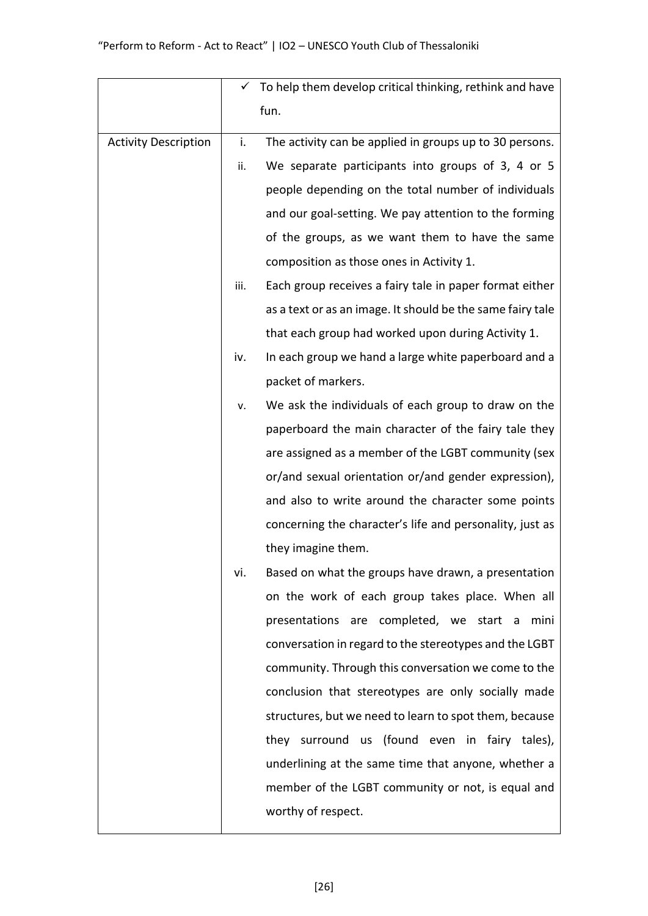|                             |      | $\checkmark$ To help them develop critical thinking, rethink and have |
|-----------------------------|------|-----------------------------------------------------------------------|
|                             |      | fun.                                                                  |
| <b>Activity Description</b> | i.   | The activity can be applied in groups up to 30 persons.               |
|                             | ii.  | We separate participants into groups of 3, 4 or 5                     |
|                             |      | people depending on the total number of individuals                   |
|                             |      | and our goal-setting. We pay attention to the forming                 |
|                             |      | of the groups, as we want them to have the same                       |
|                             |      | composition as those ones in Activity 1.                              |
|                             | iii. | Each group receives a fairy tale in paper format either               |
|                             |      | as a text or as an image. It should be the same fairy tale            |
|                             |      | that each group had worked upon during Activity 1.                    |
|                             | iv.  | In each group we hand a large white paperboard and a                  |
|                             |      | packet of markers.                                                    |
|                             | ν.   | We ask the individuals of each group to draw on the                   |
|                             |      | paperboard the main character of the fairy tale they                  |
|                             |      | are assigned as a member of the LGBT community (sex                   |
|                             |      | or/and sexual orientation or/and gender expression),                  |
|                             |      | and also to write around the character some points                    |
|                             |      | concerning the character's life and personality, just as              |
|                             |      | they imagine them.                                                    |
|                             | vi.  | Based on what the groups have drawn, a presentation                   |
|                             |      | on the work of each group takes place. When all                       |
|                             |      | presentations are completed, we start a mini                          |
|                             |      | conversation in regard to the stereotypes and the LGBT                |
|                             |      | community. Through this conversation we come to the                   |
|                             |      | conclusion that stereotypes are only socially made                    |
|                             |      | structures, but we need to learn to spot them, because                |
|                             |      | they surround us (found even in fairy tales),                         |
|                             |      | underlining at the same time that anyone, whether a                   |
|                             |      | member of the LGBT community or not, is equal and                     |
|                             |      | worthy of respect.                                                    |
|                             |      |                                                                       |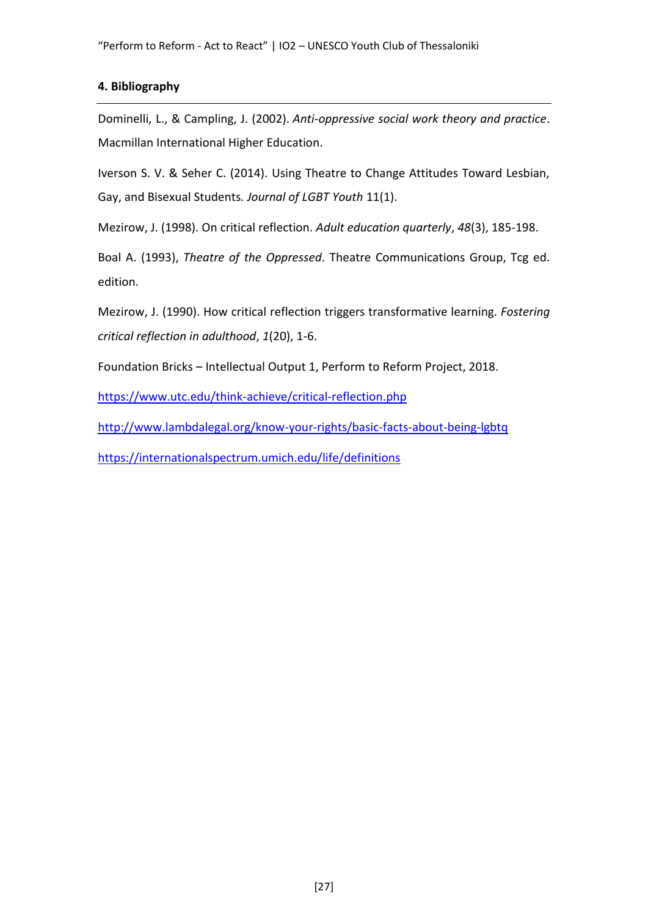"Perform to Reform - Act to React" | IO2 – UNESCO Youth Club of Thessaloniki

### **4. Bibliography**

Dominelli, L., & Campling, J. (2002). *Anti-oppressive social work theory and practice*. Macmillan International Higher Education.

Iverson S. V. & Seher C. (2014). Using Theatre to Change Attitudes Toward Lesbian, Gay, and Bisexual Students*. Journal of LGBT Youth* 11(1).

Mezirow, J. (1998). On critical reflection. *Adult education quarterly*, *48*(3), 185-198.

Boal A. (1993), *Theatre of the Oppressed*. Theatre Communications Group, Tcg ed. edition.

Mezirow, J. (1990). How critical reflection triggers transformative learning. *Fostering critical reflection in adulthood*, *1*(20), 1-6.

Foundation Bricks – Intellectual Output 1, Perform to Reform Project, 2018.

<https://www.utc.edu/think-achieve/critical-reflection.php>

<http://www.lambdalegal.org/know-your-rights/basic-facts-about-being-lgbtq>

<https://internationalspectrum.umich.edu/life/definitions>